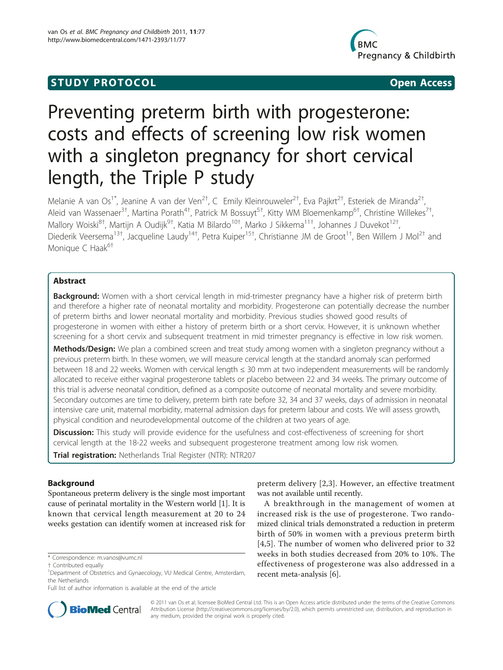# **STUDY PROTOCOL CONSUMING ACCESS**



# Preventing preterm birth with progesterone: costs and effects of screening low risk women with a singleton pregnancy for short cervical length, the Triple P study

Melanie A van Os<sup>1\*</sup>, Jeanine A van der Ven<sup>2†</sup>, C Emily Kleinrouweler<sup>2†</sup>, Eva Pajkrt<sup>2†</sup>, Esteriek de Miranda<sup>2†</sup> , Aleid van Wassenaer<sup>3†</sup>, Martina Porath<sup>4†</sup>, Patrick M Bossuyt<sup>5†</sup>, Kitty WM Bloemenkamp<sup>6†</sup>, Christine Willekes<sup>7†</sup> , Mallory Woiski $^{8\dagger}$ , Martijn A Oudijk $^{9\dagger}$ , Katia M Bilardo $^{10\dagger}$ , Marko J Sikkema $^{11\dagger}$ , Johannes J Duvekot $^{12\dagger}$ , Diederik Veersema<sup>13†</sup>, Jacqueline Laudy<sup>14†</sup>, Petra Kuiper<sup>15†</sup>, Christianne JM de Groot<sup>1†</sup>, Ben Willem J Mol<sup>2†</sup> and Monique C Haak<sup>6†</sup>

# Abstract

**Background:** Women with a short cervical length in mid-trimester pregnancy have a higher risk of preterm birth and therefore a higher rate of neonatal mortality and morbidity. Progesterone can potentially decrease the number of preterm births and lower neonatal mortality and morbidity. Previous studies showed good results of progesterone in women with either a history of preterm birth or a short cervix. However, it is unknown whether screening for a short cervix and subsequent treatment in mid trimester pregnancy is effective in low risk women.

Methods/Design: We plan a combined screen and treat study among women with a singleton pregnancy without a previous preterm birth. In these women, we will measure cervical length at the standard anomaly scan performed between 18 and 22 weeks. Women with cervical length ≤ 30 mm at two independent measurements will be randomly allocated to receive either vaginal progesterone tablets or placebo between 22 and 34 weeks. The primary outcome of this trial is adverse neonatal condition, defined as a composite outcome of neonatal mortality and severe morbidity. Secondary outcomes are time to delivery, preterm birth rate before 32, 34 and 37 weeks, days of admission in neonatal intensive care unit, maternal morbidity, maternal admission days for preterm labour and costs. We will assess growth, physical condition and neurodevelopmental outcome of the children at two years of age.

Discussion: This study will provide evidence for the usefulness and cost-effectiveness of screening for short cervical length at the 18-22 weeks and subsequent progesterone treatment among low risk women. Trial registration: Netherlands Trial Register (NTR): [NTR207](http://www.trialregister.nl/trialreg/admin/rctview.asp?TC=207)

# Background

Spontaneous preterm delivery is the single most important cause of perinatal mortality in the Western world [\[1](#page-4-0)]. It is known that cervical length measurement at 20 to 24 weeks gestation can identify women at increased risk for



A breakthrough in the management of women at increased risk is the use of progesterone. Two randomized clinical trials demonstrated a reduction in preterm birth of 50% in women with a previous preterm birth [[4](#page-4-0),[5\]](#page-4-0). The number of women who delivered prior to 32 weeks in both studies decreased from 20% to 10%. The effectiveness of progesterone was also addressed in a recent meta-analysis [\[6](#page-4-0)].



© 2011 van Os et al; licensee BioMed Central Ltd. This is an Open Access article distributed under the terms of the Creative Commons Attribution License [\(http://creativecommons.org/licenses/by/2.0](http://creativecommons.org/licenses/by/2.0)), which permits unrestricted use, distribution, and reproduction in any medium, provided the original work is properly cited.

<sup>\*</sup> Correspondence: [m.vanos@vumc.nl](mailto:m.vanos@vumc.nl)

<sup>†</sup> Contributed equally <sup>1</sup>

<sup>&</sup>lt;sup>1</sup>Department of Obstetrics and Gynaecology, VU Medical Centre, Amsterdam, the Netherlands

Full list of author information is available at the end of the article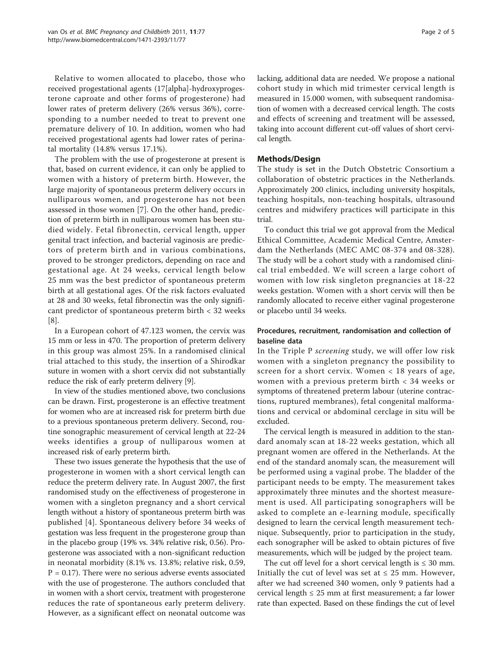Relative to women allocated to placebo, those who received progestational agents (17[alpha]-hydroxyprogesterone caproate and other forms of progesterone) had lower rates of preterm delivery (26% versus 36%), corresponding to a number needed to treat to prevent one premature delivery of 10. In addition, women who had received progestational agents had lower rates of perinatal mortality (14.8% versus 17.1%).

The problem with the use of progesterone at present is that, based on current evidence, it can only be applied to women with a history of preterm birth. However, the large majority of spontaneous preterm delivery occurs in nulliparous women, and progesterone has not been assessed in those women [[7\]](#page-4-0). On the other hand, prediction of preterm birth in nulliparous women has been studied widely. Fetal fibronectin, cervical length, upper genital tract infection, and bacterial vaginosis are predictors of preterm birth and in various combinations, proved to be stronger predictors, depending on race and gestational age. At 24 weeks, cervical length below 25 mm was the best predictor of spontaneous preterm birth at all gestational ages. Of the risk factors evaluated at 28 and 30 weeks, fetal fibronectin was the only significant predictor of spontaneous preterm birth < 32 weeks [[8\]](#page-4-0).

In a European cohort of 47.123 women, the cervix was 15 mm or less in 470. The proportion of preterm delivery in this group was almost 25%. In a randomised clinical trial attached to this study, the insertion of a Shirodkar suture in women with a short cervix did not substantially reduce the risk of early preterm delivery [[9](#page-4-0)].

In view of the studies mentioned above, two conclusions can be drawn. First, progesterone is an effective treatment for women who are at increased risk for preterm birth due to a previous spontaneous preterm delivery. Second, routine sonographic measurement of cervical length at 22-24 weeks identifies a group of nulliparous women at increased risk of early preterm birth.

These two issues generate the hypothesis that the use of progesterone in women with a short cervical length can reduce the preterm delivery rate. In August 2007, the first randomised study on the effectiveness of progesterone in women with a singleton pregnancy and a short cervical length without a history of spontaneous preterm birth was published [[4](#page-4-0)]. Spontaneous delivery before 34 weeks of gestation was less frequent in the progesterone group than in the placebo group (19% vs. 34% relative risk, 0.56). Progesterone was associated with a non-significant reduction in neonatal morbidity (8.1% vs. 13.8%; relative risk, 0.59,  $P = 0.17$ ). There were no serious adverse events associated with the use of progesterone. The authors concluded that in women with a short cervix, treatment with progesterone reduces the rate of spontaneous early preterm delivery. However, as a significant effect on neonatal outcome was

lacking, additional data are needed. We propose a national cohort study in which mid trimester cervical length is measured in 15.000 women, with subsequent randomisation of women with a decreased cervical length. The costs and effects of screening and treatment will be assessed, taking into account different cut-off values of short cervical length.

# Methods/Design

The study is set in the Dutch Obstetric Consortium a collaboration of obstetric practices in the Netherlands. Approximately 200 clinics, including university hospitals, teaching hospitals, non-teaching hospitals, ultrasound centres and midwifery practices will participate in this trial.

To conduct this trial we got approval from the Medical Ethical Committee, Academic Medical Centre, Amsterdam the Netherlands (MEC AMC 08-374 and 08-328). The study will be a cohort study with a randomised clinical trial embedded. We will screen a large cohort of women with low risk singleton pregnancies at 18-22 weeks gestation. Women with a short cervix will then be randomly allocated to receive either vaginal progesterone or placebo until 34 weeks.

# Procedures, recruitment, randomisation and collection of baseline data

In the Triple P screening study, we will offer low risk women with a singleton pregnancy the possibility to screen for a short cervix. Women < 18 years of age, women with a previous preterm birth < 34 weeks or symptoms of threatened preterm labour (uterine contractions, ruptured membranes), fetal congenital malformations and cervical or abdominal cerclage in situ will be excluded.

The cervical length is measured in addition to the standard anomaly scan at 18-22 weeks gestation, which all pregnant women are offered in the Netherlands. At the end of the standard anomaly scan, the measurement will be performed using a vaginal probe. The bladder of the participant needs to be empty. The measurement takes approximately three minutes and the shortest measurement is used. All participating sonographers will be asked to complete an e-learning module, specifically designed to learn the cervical length measurement technique. Subsequently, prior to participation in the study, each sonographer will be asked to obtain pictures of five measurements, which will be judged by the project team.

The cut off level for a short cervical length is  $\leq 30$  mm. Initially the cut of level was set at  $\leq 25$  mm. However, after we had screened 340 women, only 9 patients had a cervical length  $\leq 25$  mm at first measurement; a far lower rate than expected. Based on these findings the cut of level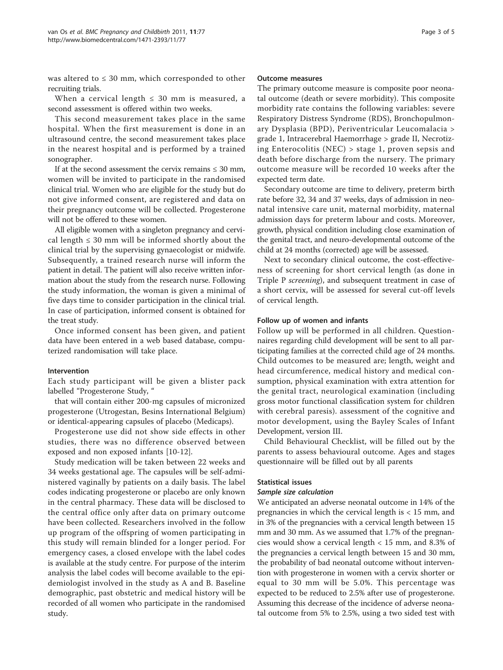was altered to  $\leq 30$  mm, which corresponded to other recruiting trials.

When a cervical length  $\leq$  30 mm is measured, a second assessment is offered within two weeks.

This second measurement takes place in the same hospital. When the first measurement is done in an ultrasound centre, the second measurement takes place in the nearest hospital and is performed by a trained sonographer.

If at the second assessment the cervix remains  $\leq 30$  mm, women will be invited to participate in the randomised clinical trial. Women who are eligible for the study but do not give informed consent, are registered and data on their pregnancy outcome will be collected. Progesterone will not be offered to these women.

All eligible women with a singleton pregnancy and cervical length  $\leq 30$  mm will be informed shortly about the clinical trial by the supervising gynaecologist or midwife. Subsequently, a trained research nurse will inform the patient in detail. The patient will also receive written information about the study from the research nurse. Following the study information, the woman is given a minimal of five days time to consider participation in the clinical trial. In case of participation, informed consent is obtained for the treat study.

Once informed consent has been given, and patient data have been entered in a web based database, computerized randomisation will take place.

# Intervention

Each study participant will be given a blister pack labelled "Progesterone Study, "

that will contain either 200-mg capsules of micronized progesterone (Utrogestan, Besins International Belgium) or identical-appearing capsules of placebo (Medicaps).

Progesterone use did not show side effects in other studies, there was no difference observed between exposed and non exposed infants [[10-12\]](#page-4-0).

Study medication will be taken between 22 weeks and 34 weeks gestational age. The capsules will be self-administered vaginally by patients on a daily basis. The label codes indicating progesterone or placebo are only known in the central pharmacy. These data will be disclosed to the central office only after data on primary outcome have been collected. Researchers involved in the follow up program of the offspring of women participating in this study will remain blinded for a longer period. For emergency cases, a closed envelope with the label codes is available at the study centre. For purpose of the interim analysis the label codes will become available to the epidemiologist involved in the study as A and B. Baseline demographic, past obstetric and medical history will be recorded of all women who participate in the randomised study.

#### Outcome measures

The primary outcome measure is composite poor neonatal outcome (death or severe morbidity). This composite morbidity rate contains the following variables: severe Respiratory Distress Syndrome (RDS), Bronchopulmonary Dysplasia (BPD), Periventricular Leucomalacia > grade 1, Intracerebral Haemorrhage > grade II, Necrotizing Enterocolitis (NEC) > stage 1, proven sepsis and death before discharge from the nursery. The primary outcome measure will be recorded 10 weeks after the expected term date.

Secondary outcome are time to delivery, preterm birth rate before 32, 34 and 37 weeks, days of admission in neonatal intensive care unit, maternal morbidity, maternal admission days for preterm labour and costs. Moreover, growth, physical condition including close examination of the genital tract, and neuro-developmental outcome of the child at 24 months (corrected) age will be assessed.

Next to secondary clinical outcome, the cost-effectiveness of screening for short cervical length (as done in Triple P screening), and subsequent treatment in case of a short cervix, will be assessed for several cut-off levels of cervical length.

#### Follow up of women and infants

Follow up will be performed in all children. Questionnaires regarding child development will be sent to all participating families at the corrected child age of 24 months. Child outcomes to be measured are; length, weight and head circumference, medical history and medical consumption, physical examination with extra attention for the genital tract, neurological examination (including gross motor functional classification system for children with cerebral paresis). assessment of the cognitive and motor development, using the Bayley Scales of Infant Development, version III.

Child Behavioural Checklist, will be filled out by the parents to assess behavioural outcome. Ages and stages questionnaire will be filled out by all parents

#### Statistical issues

#### Sample size calculation

We anticipated an adverse neonatal outcome in 14% of the pregnancies in which the cervical length is < 15 mm, and in 3% of the pregnancies with a cervical length between 15 mm and 30 mm. As we assumed that 1.7% of the pregnancies would show a cervical length < 15 mm, and 8.3% of the pregnancies a cervical length between 15 and 30 mm, the probability of bad neonatal outcome without intervention with progesterone in women with a cervix shorter or equal to 30 mm will be 5.0%. This percentage was expected to be reduced to 2.5% after use of progesterone. Assuming this decrease of the incidence of adverse neonatal outcome from 5% to 2.5%, using a two sided test with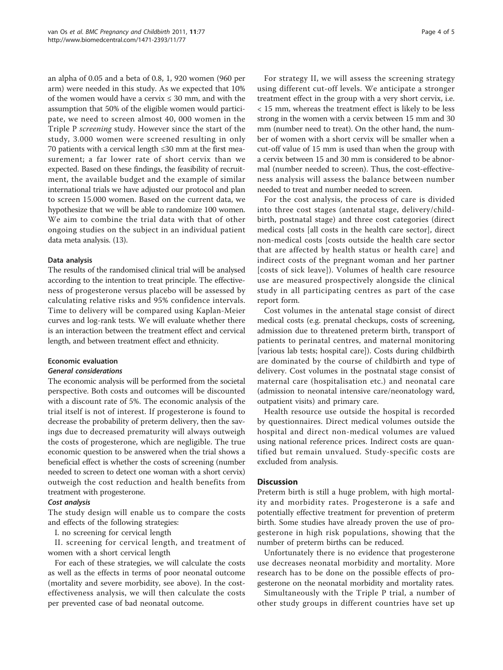an alpha of 0.05 and a beta of 0.8, 1, 920 women (960 per arm) were needed in this study. As we expected that 10% of the women would have a cervix  $\leq 30$  mm, and with the assumption that 50% of the eligible women would participate, we need to screen almost 40, 000 women in the Triple P screening study. However since the start of the study, 3.000 women were screened resulting in only 70 patients with a cervical length ≤30 mm at the first measurement; a far lower rate of short cervix than we expected. Based on these findings, the feasibility of recruitment, the available budget and the example of similar international trials we have adjusted our protocol and plan to screen 15.000 women. Based on the current data, we hypothesize that we will be able to randomize 100 women. We aim to combine the trial data with that of other ongoing studies on the subject in an individual patient data meta analysis. (13).

# Data analysis

The results of the randomised clinical trial will be analysed according to the intention to treat principle. The effectiveness of progesterone versus placebo will be assessed by calculating relative risks and 95% confidence intervals. Time to delivery will be compared using Kaplan-Meier curves and log-rank tests. We will evaluate whether there is an interaction between the treatment effect and cervical length, and between treatment effect and ethnicity.

# Economic evaluation

# General considerations

The economic analysis will be performed from the societal perspective. Both costs and outcomes will be discounted with a discount rate of 5%. The economic analysis of the trial itself is not of interest. If progesterone is found to decrease the probability of preterm delivery, then the savings due to decreased prematurity will always outweigh the costs of progesterone, which are negligible. The true economic question to be answered when the trial shows a beneficial effect is whether the costs of screening (number needed to screen to detect one woman with a short cervix) outweigh the cost reduction and health benefits from treatment with progesterone.

# Cost analysis

The study design will enable us to compare the costs and effects of the following strategies:

I. no screening for cervical length

II. screening for cervical length, and treatment of women with a short cervical length

For each of these strategies, we will calculate the costs as well as the effects in terms of poor neonatal outcome (mortality and severe morbidity, see above). In the costeffectiveness analysis, we will then calculate the costs per prevented case of bad neonatal outcome.

For strategy II, we will assess the screening strategy using different cut-off levels. We anticipate a stronger treatment effect in the group with a very short cervix, i.e. < 15 mm, whereas the treatment effect is likely to be less strong in the women with a cervix between 15 mm and 30 mm (number need to treat). On the other hand, the number of women with a short cervix will be smaller when a cut-off value of 15 mm is used than when the group with a cervix between 15 and 30 mm is considered to be abnormal (number needed to screen). Thus, the cost-effectiveness analysis will assess the balance between number needed to treat and number needed to screen.

For the cost analysis, the process of care is divided into three cost stages (antenatal stage, delivery/childbirth, postnatal stage) and three cost categories (direct medical costs [all costs in the health care sector], direct non-medical costs [costs outside the health care sector that are affected by health status or health care] and indirect costs of the pregnant woman and her partner [costs of sick leave]). Volumes of health care resource use are measured prospectively alongside the clinical study in all participating centres as part of the case report form.

Cost volumes in the antenatal stage consist of direct medical costs (e.g. prenatal checkups, costs of screening, admission due to threatened preterm birth, transport of patients to perinatal centres, and maternal monitoring [various lab tests; hospital care]). Costs during childbirth are dominated by the course of childbirth and type of delivery. Cost volumes in the postnatal stage consist of maternal care (hospitalisation etc.) and neonatal care (admission to neonatal intensive care/neonatology ward, outpatient visits) and primary care.

Health resource use outside the hospital is recorded by questionnaires. Direct medical volumes outside the hospital and direct non-medical volumes are valued using national reference prices. Indirect costs are quantified but remain unvalued. Study-specific costs are excluded from analysis.

# **Discussion**

Preterm birth is still a huge problem, with high mortality and morbidity rates. Progesterone is a safe and potentially effective treatment for prevention of preterm birth. Some studies have already proven the use of progesterone in high risk populations, showing that the number of preterm births can be reduced.

Unfortunately there is no evidence that progesterone use decreases neonatal morbidity and mortality. More research has to be done on the possible effects of progesterone on the neonatal morbidity and mortality rates.

Simultaneously with the Triple P trial, a number of other study groups in different countries have set up